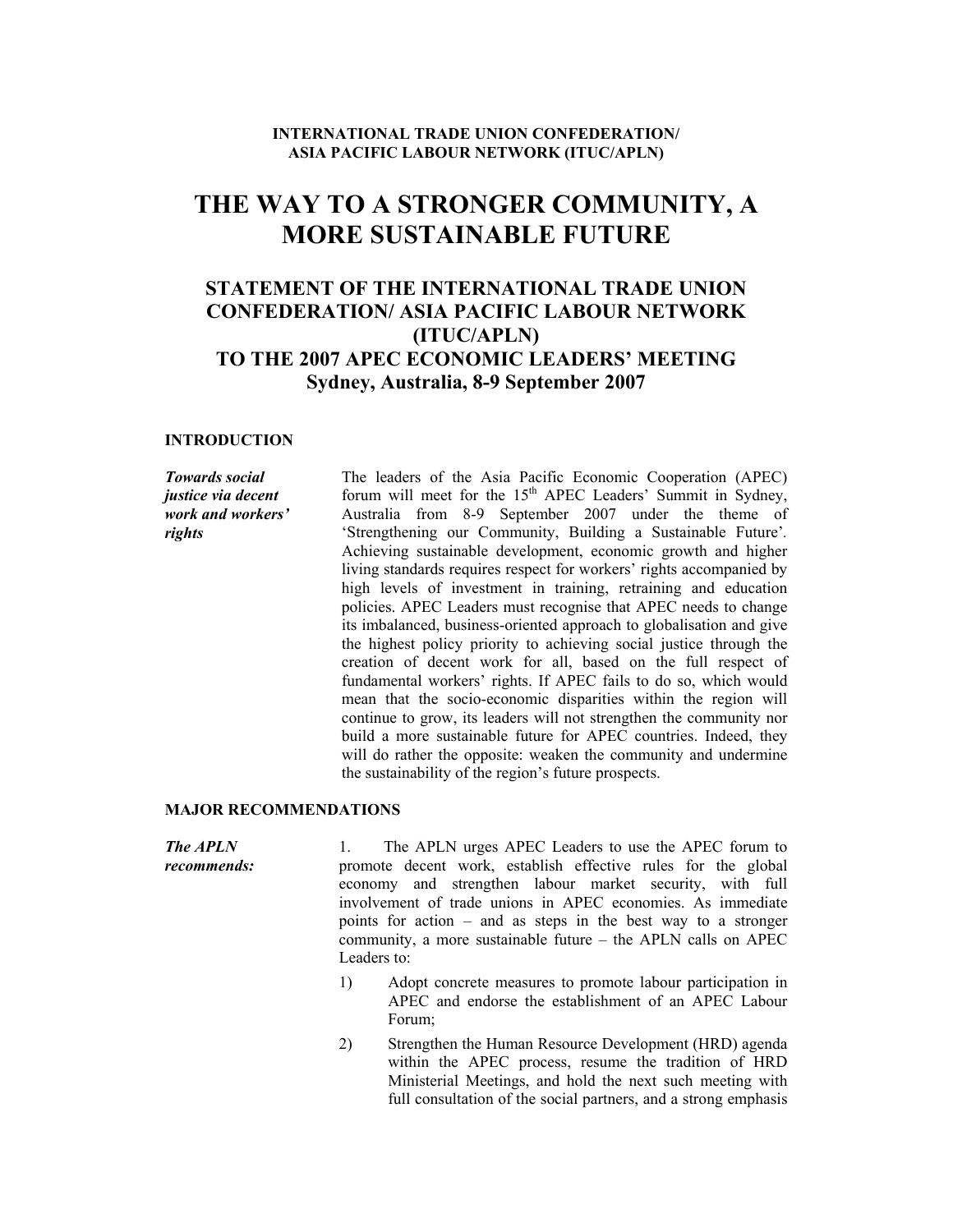### **INTERNATIONAL TRADE UNION CONFEDERATION/ ASIA PACIFIC LABOUR NETWORK (ITUC/APLN)**

## **THE WAY TO A STRONGER COMMUNITY, A MORE SUSTAINABLE FUTURE**

### **STATEMENT OF THE INTERNATIONAL TRADE UNION CONFEDERATION/ ASIA PACIFIC LABOUR NETWORK (ITUC/APLN) TO THE 2007 APEC ECONOMIC LEADERS' MEETING Sydney, Australia, 8-9 September 2007**

### **INTRODUCTION**

*Towards social justice via decent work and workers' rights* 

The leaders of the Asia Pacific Economic Cooperation (APEC) forum will meet for the  $15<sup>th</sup>$  APEC Leaders' Summit in Sydney, Australia from 8-9 September 2007 under the theme of 'Strengthening our Community, Building a Sustainable Future'*.* Achieving sustainable development, economic growth and higher living standards requires respect for workers' rights accompanied by high levels of investment in training, retraining and education policies. APEC Leaders must recognise that APEC needs to change its imbalanced, business-oriented approach to globalisation and give the highest policy priority to achieving social justice through the creation of decent work for all, based on the full respect of fundamental workers' rights. If APEC fails to do so, which would mean that the socio-economic disparities within the region will continue to grow, its leaders will not strengthen the community nor build a more sustainable future for APEC countries. Indeed, they will do rather the opposite: weaken the community and undermine the sustainability of the region's future prospects.

#### **MAJOR RECOMMENDATIONS**

*The APLN recommends:*  1. The APLN urges APEC Leaders to use the APEC forum to promote decent work, establish effective rules for the global economy and strengthen labour market security, with full involvement of trade unions in APEC economies. As immediate points for action – and as steps in the best way to a stronger community, a more sustainable future – the APLN calls on APEC Leaders to:

- 1) Adopt concrete measures to promote labour participation in APEC and endorse the establishment of an APEC Labour Forum;
- 2) Strengthen the Human Resource Development (HRD) agenda within the APEC process, resume the tradition of HRD Ministerial Meetings, and hold the next such meeting with full consultation of the social partners, and a strong emphasis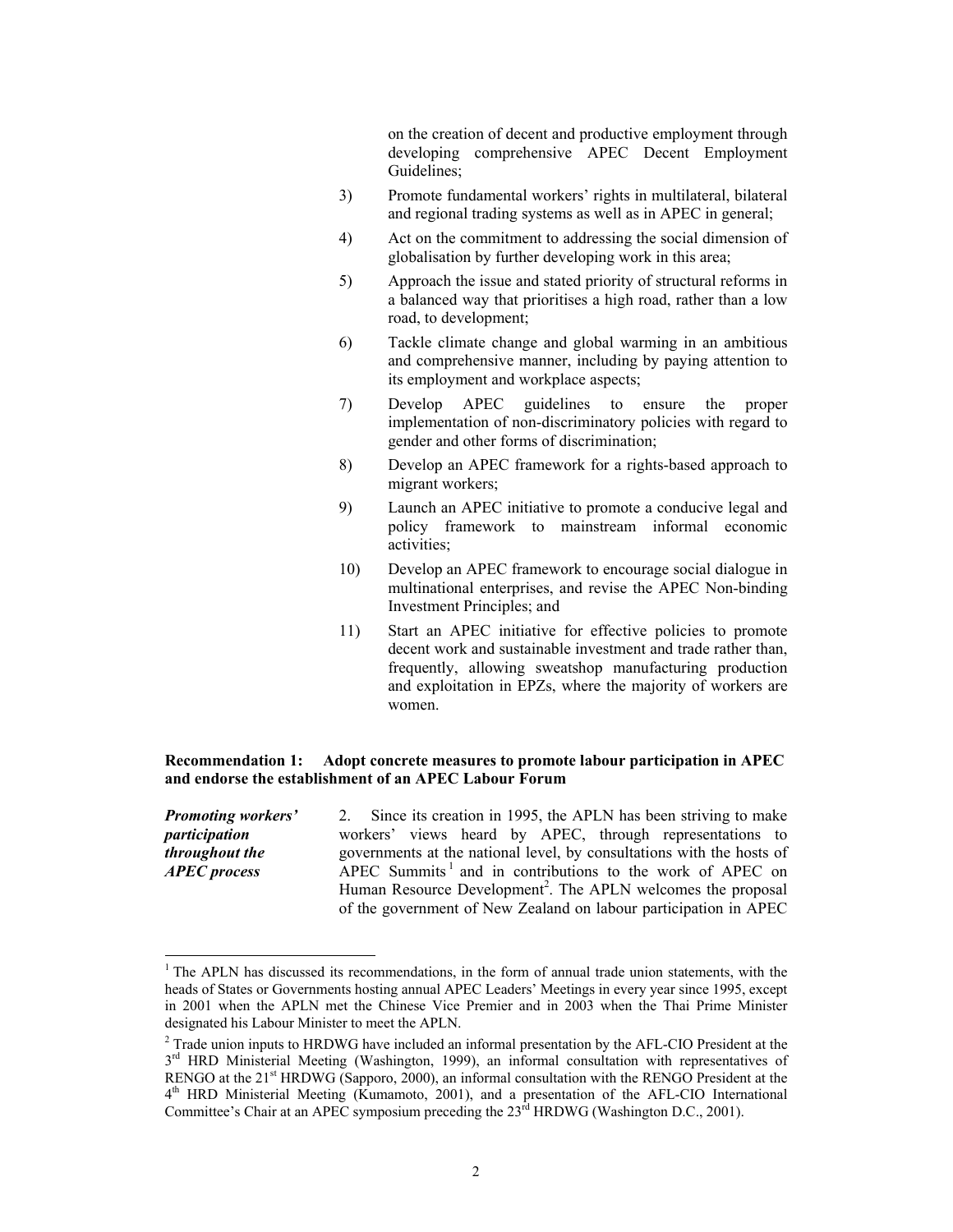on the creation of decent and productive employment through developing comprehensive APEC Decent Employment Guidelines;

- 3) Promote fundamental workers' rights in multilateral, bilateral and regional trading systems as well as in APEC in general;
- 4) Act on the commitment to addressing the social dimension of globalisation by further developing work in this area;
- 5) Approach the issue and stated priority of structural reforms in a balanced way that prioritises a high road, rather than a low road, to development;
- 6) Tackle climate change and global warming in an ambitious and comprehensive manner, including by paying attention to its employment and workplace aspects;
- 7) Develop APEC guidelines to ensure the proper implementation of non-discriminatory policies with regard to gender and other forms of discrimination;
- 8) Develop an APEC framework for a rights-based approach to migrant workers;
- 9) Launch an APEC initiative to promote a conducive legal and policy framework to mainstream informal economic activities;
- 10) Develop an APEC framework to encourage social dialogue in multinational enterprises, and revise the APEC Non-binding Investment Principles; and
- 11) Start an APEC initiative for effective policies to promote decent work and sustainable investment and trade rather than, frequently, allowing sweatshop manufacturing production and exploitation in EPZs, where the majority of workers are women.

### **Recommendation 1: Adopt concrete measures to promote labour participation in APEC and endorse the establishment of an APEC Labour Forum**

*Promoting workers' participation throughout the APEC process*  2. Since its creation in 1995, the APLN has been striving to make workers' views heard by APEC, through representations to governments at the national level, by consultations with the hosts of  $APEC$  Summits<sup>1</sup> and in contributions to the work of APEC on Human Resource Development<sup>2</sup>. The APLN welcomes the proposal of the government of New Zealand on labour participation in APEC

l

 $<sup>1</sup>$  The APLN has discussed its recommendations, in the form of annual trade union statements, with the</sup> heads of States or Governments hosting annual APEC Leaders' Meetings in every year since 1995, except in 2001 when the APLN met the Chinese Vice Premier and in 2003 when the Thai Prime Minister designated his Labour Minister to meet the APLN.

<sup>&</sup>lt;sup>2</sup> Trade union inputs to HRDWG have included an informal presentation by the AFL-CIO President at the 3<sup>rd</sup> HRD Ministerial Meeting (Washington, 1999), an informal consultation with representatives of RENGO at the 21<sup>st</sup> HRDWG (Sapporo, 2000), an informal consultation with the RENGO President at the 4<sup>th</sup> HRD Ministerial Meeting (Kumamoto, 2001), and a presentation of the AFL-CIO International Committee's Chair at an APEC symposium preceding the 23<sup>rd</sup> HRDWG (Washington D.C., 2001).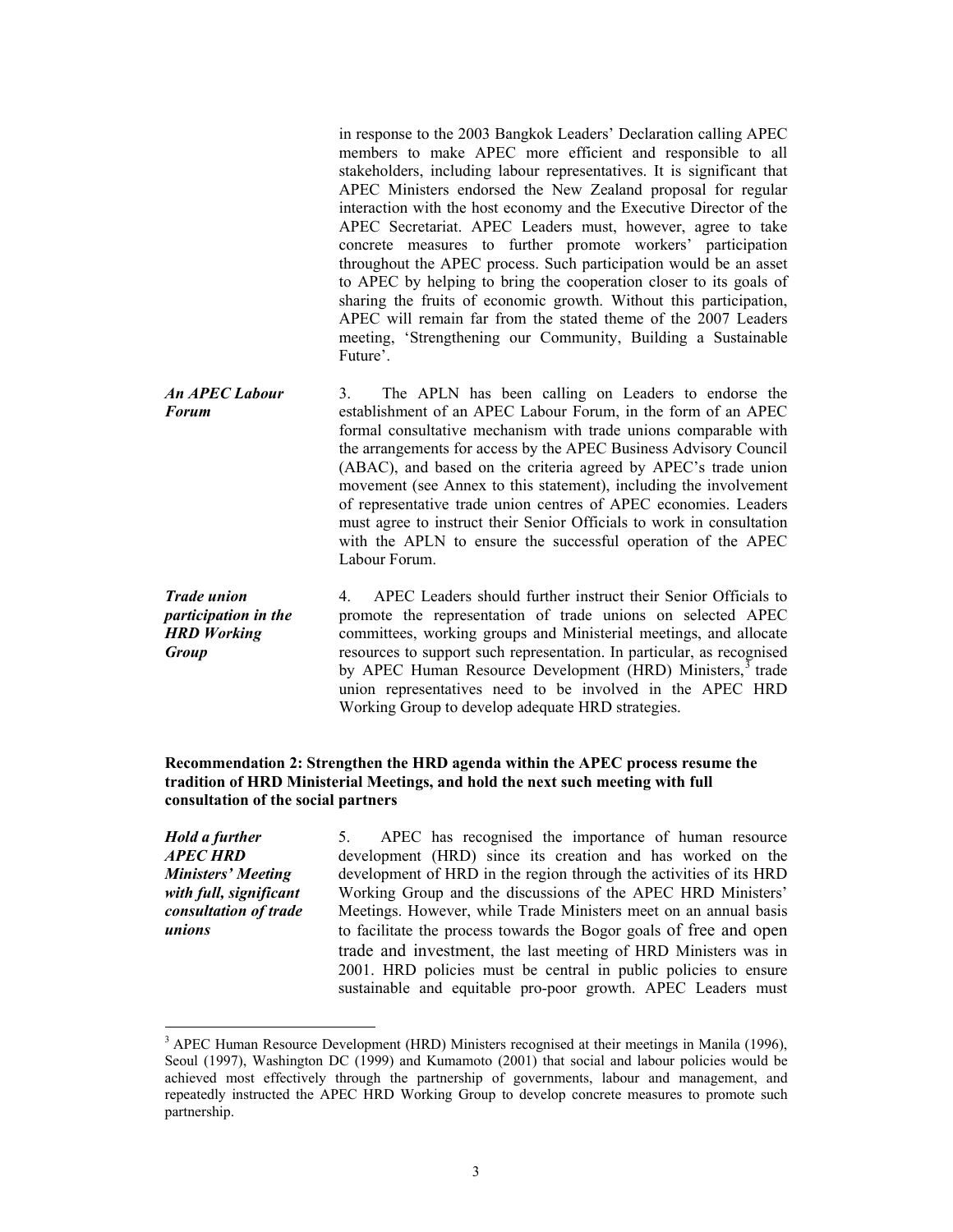in response to the 2003 Bangkok Leaders' Declaration calling APEC members to make APEC more efficient and responsible to all stakeholders, including labour representatives. It is significant that APEC Ministers endorsed the New Zealand proposal for regular interaction with the host economy and the Executive Director of the APEC Secretariat. APEC Leaders must, however, agree to take concrete measures to further promote workers' participation throughout the APEC process. Such participation would be an asset to APEC by helping to bring the cooperation closer to its goals of sharing the fruits of economic growth. Without this participation, APEC will remain far from the stated theme of the 2007 Leaders meeting, 'Strengthening our Community, Building a Sustainable Future'.

*An APEC Labour Forum*  3. The APLN has been calling on Leaders to endorse the establishment of an APEC Labour Forum, in the form of an APEC formal consultative mechanism with trade unions comparable with the arrangements for access by the APEC Business Advisory Council (ABAC), and based on the criteria agreed by APEC's trade union movement (see Annex to this statement), including the involvement of representative trade union centres of APEC economies. Leaders must agree to instruct their Senior Officials to work in consultation with the APLN to ensure the successful operation of the APEC Labour Forum.

*Trade union participation in the HRD Working Group*  4. APEC Leaders should further instruct their Senior Officials to promote the representation of trade unions on selected APEC committees, working groups and Ministerial meetings, and allocate resources to support such representation. In particular, as recognised by APEC Human Resource Development (HRD) Ministers,<sup>3</sup> trade union representatives need to be involved in the APEC HRD Working Group to develop adequate HRD strategies.

### **Recommendation 2: Strengthen the HRD agenda within the APEC process resume the tradition of HRD Ministerial Meetings, and hold the next such meeting with full consultation of the social partners**

*Hold a further APEC HRD Ministers' Meeting with full, significant consultation of trade unions* 

 $\overline{a}$ 

5. APEC has recognised the importance of human resource development (HRD) since its creation and has worked on the development of HRD in the region through the activities of its HRD Working Group and the discussions of the APEC HRD Ministers' Meetings. However, while Trade Ministers meet on an annual basis to facilitate the process towards the Bogor goals of free and open trade and investment, the last meeting of HRD Ministers was in 2001. HRD policies must be central in public policies to ensure sustainable and equitable pro-poor growth. APEC Leaders must

<sup>&</sup>lt;sup>3</sup> APEC Human Resource Development (HRD) Ministers recognised at their meetings in Manila (1996), Seoul (1997), Washington DC (1999) and Kumamoto (2001) that social and labour policies would be achieved most effectively through the partnership of governments, labour and management, and repeatedly instructed the APEC HRD Working Group to develop concrete measures to promote such partnership.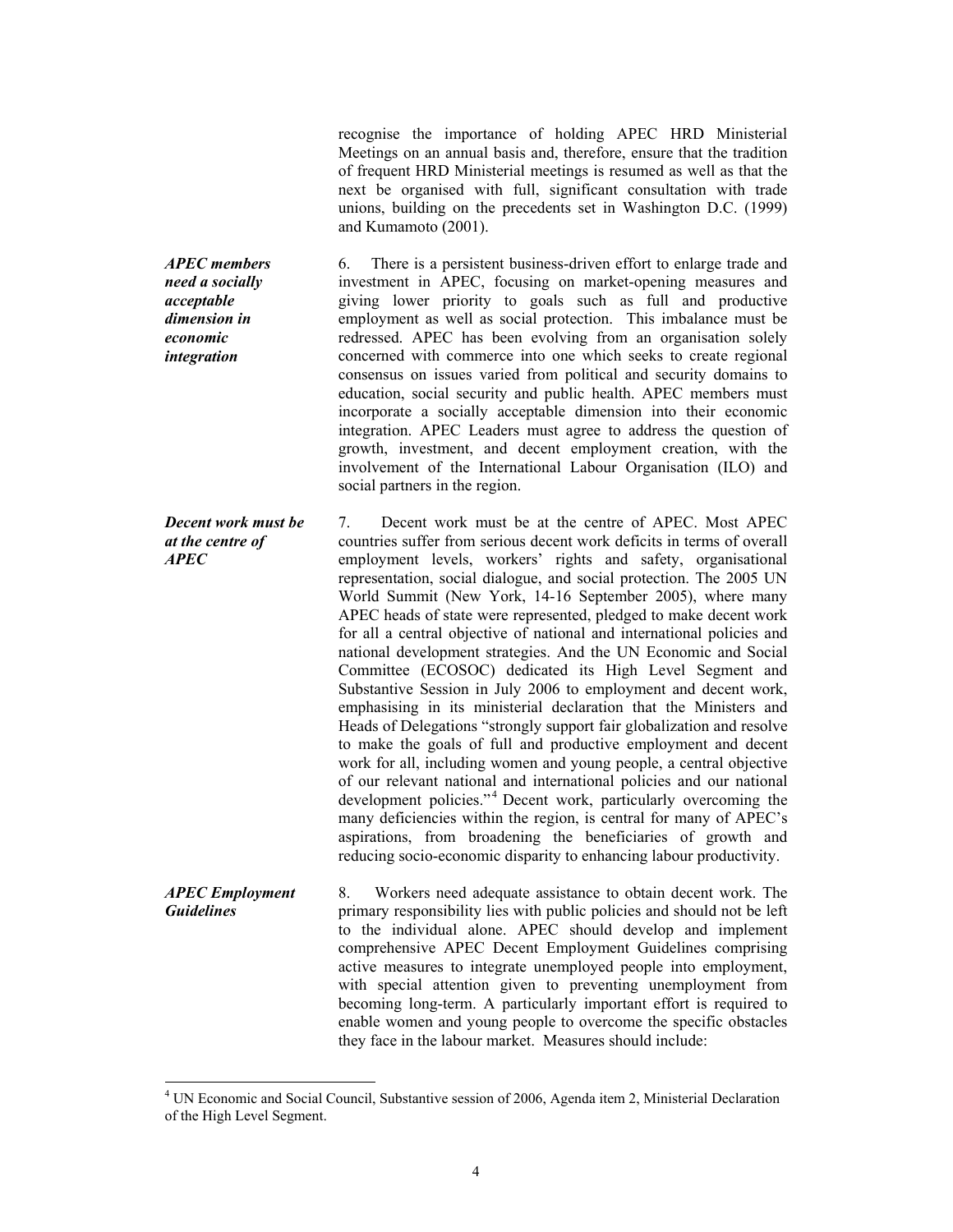recognise the importance of holding APEC HRD Ministerial Meetings on an annual basis and, therefore, ensure that the tradition of frequent HRD Ministerial meetings is resumed as well as that the next be organised with full, significant consultation with trade unions, building on the precedents set in Washington D.C. (1999) and Kumamoto (2001).

*APEC members need a socially acceptable dimension in economic integration*  6. There is a persistent business-driven effort to enlarge trade and investment in APEC, focusing on market-opening measures and giving lower priority to goals such as full and productive employment as well as social protection. This imbalance must be redressed. APEC has been evolving from an organisation solely concerned with commerce into one which seeks to create regional consensus on issues varied from political and security domains to education, social security and public health. APEC members must incorporate a socially acceptable dimension into their economic integration. APEC Leaders must agree to address the question of growth, investment, and decent employment creation, with the involvement of the International Labour Organisation (ILO) and social partners in the region.

*Decent work must be at the centre of APEC*  7. Decent work must be at the centre of APEC. Most APEC countries suffer from serious decent work deficits in terms of overall employment levels, workers' rights and safety, organisational representation, social dialogue, and social protection. The 2005 UN World Summit (New York, 14-16 September 2005), where many APEC heads of state were represented, pledged to make decent work for all a central objective of national and international policies and national development strategies. And the UN Economic and Social Committee (ECOSOC) dedicated its High Level Segment and Substantive Session in July 2006 to employment and decent work, emphasising in its ministerial declaration that the Ministers and Heads of Delegations "strongly support fair globalization and resolve to make the goals of full and productive employment and decent work for all, including women and young people, a central objective of our relevant national and international policies and our national development policies."<sup>4</sup> Decent work, particularly overcoming the many deficiencies within the region, is central for many of APEC's aspirations, from broadening the beneficiaries of growth and reducing socio-economic disparity to enhancing labour productivity.

*APEC Employment Guidelines*  8. Workers need adequate assistance to obtain decent work. The primary responsibility lies with public policies and should not be left to the individual alone. APEC should develop and implement comprehensive APEC Decent Employment Guidelines comprising active measures to integrate unemployed people into employment, with special attention given to preventing unemployment from becoming long-term. A particularly important effort is required to enable women and young people to overcome the specific obstacles they face in the labour market. Measures should include:

 $\overline{a}$ 

4

<sup>&</sup>lt;sup>4</sup> UN Economic and Social Council, Substantive session of 2006, Agenda item 2, Ministerial Declaration of the High Level Segment.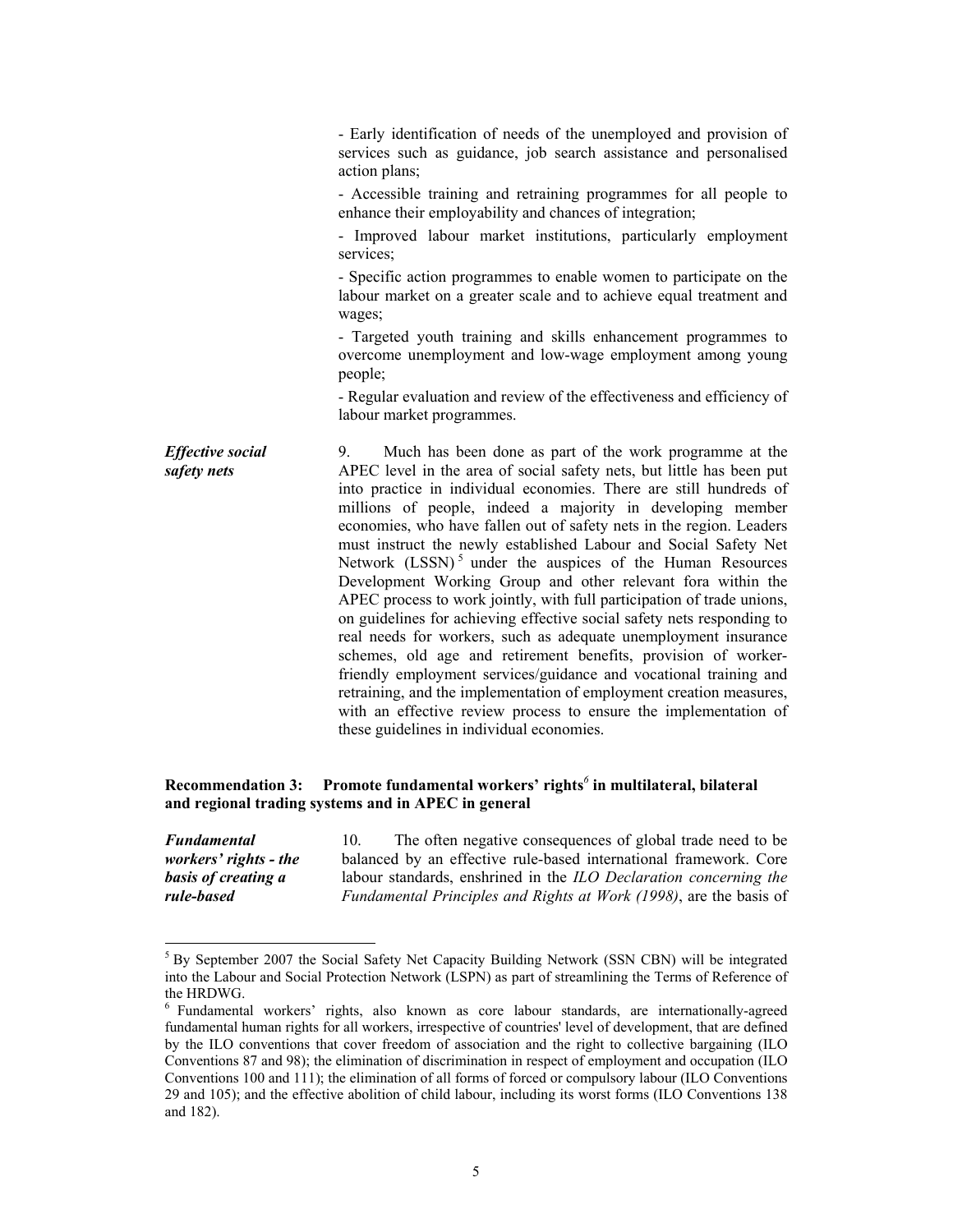- Early identification of needs of the unemployed and provision of services such as guidance, job search assistance and personalised action plans; - Accessible training and retraining programmes for all people to enhance their employability and chances of integration; - Improved labour market institutions, particularly employment services; - Specific action programmes to enable women to participate on the labour market on a greater scale and to achieve equal treatment and wages; - Targeted youth training and skills enhancement programmes to overcome unemployment and low-wage employment among young people; - Regular evaluation and review of the effectiveness and efficiency of labour market programmes. *Effective social safety nets*  9. Much has been done as part of the work programme at the APEC level in the area of social safety nets, but little has been put into practice in individual economies. There are still hundreds of millions of people, indeed a majority in developing member economies, who have fallen out of safety nets in the region. Leaders must instruct the newly established Labour and Social Safety Net Network  $(LSSN)$ <sup>5</sup> under the auspices of the Human Resources Development Working Group and other relevant fora within the APEC process to work jointly, with full participation of trade unions, on guidelines for achieving effective social safety nets responding to real needs for workers, such as adequate unemployment insurance schemes, old age and retirement benefits, provision of workerfriendly employment services/guidance and vocational training and retraining, and the implementation of employment creation measures, with an effective review process to ensure the implementation of these guidelines in individual economies.

### **Recommendation 3: Promote fundamental workers' rights***<sup>6</sup>*  **in multilateral, bilateral and regional trading systems and in APEC in general**

*Fundamental workers' rights - the basis of creating a rule-based* 

 $\overline{a}$ 

10. The often negative consequences of global trade need to be balanced by an effective rule-based international framework. Core labour standards, enshrined in the *ILO Declaration concerning the Fundamental Principles and Rights at Work (1998)*, are the basis of

<sup>&</sup>lt;sup>5</sup> By September 2007 the Social Safety Net Capacity Building Network (SSN CBN) will be integrated into the Labour and Social Protection Network (LSPN) as part of streamlining the Terms of Reference of the HRDWG.

<sup>&</sup>lt;sup>6</sup> Fundamental workers' rights, also known as core labour standards, are internationally-agreed fundamental human rights for all workers, irrespective of countries' level of development, that are defined by the ILO conventions that cover freedom of association and the right to collective bargaining (ILO Conventions 87 and 98); the elimination of discrimination in respect of employment and occupation (ILO Conventions 100 and 111); the elimination of all forms of forced or compulsory labour (ILO Conventions 29 and 105); and the effective abolition of child labour, including its worst forms (ILO Conventions 138 and 182).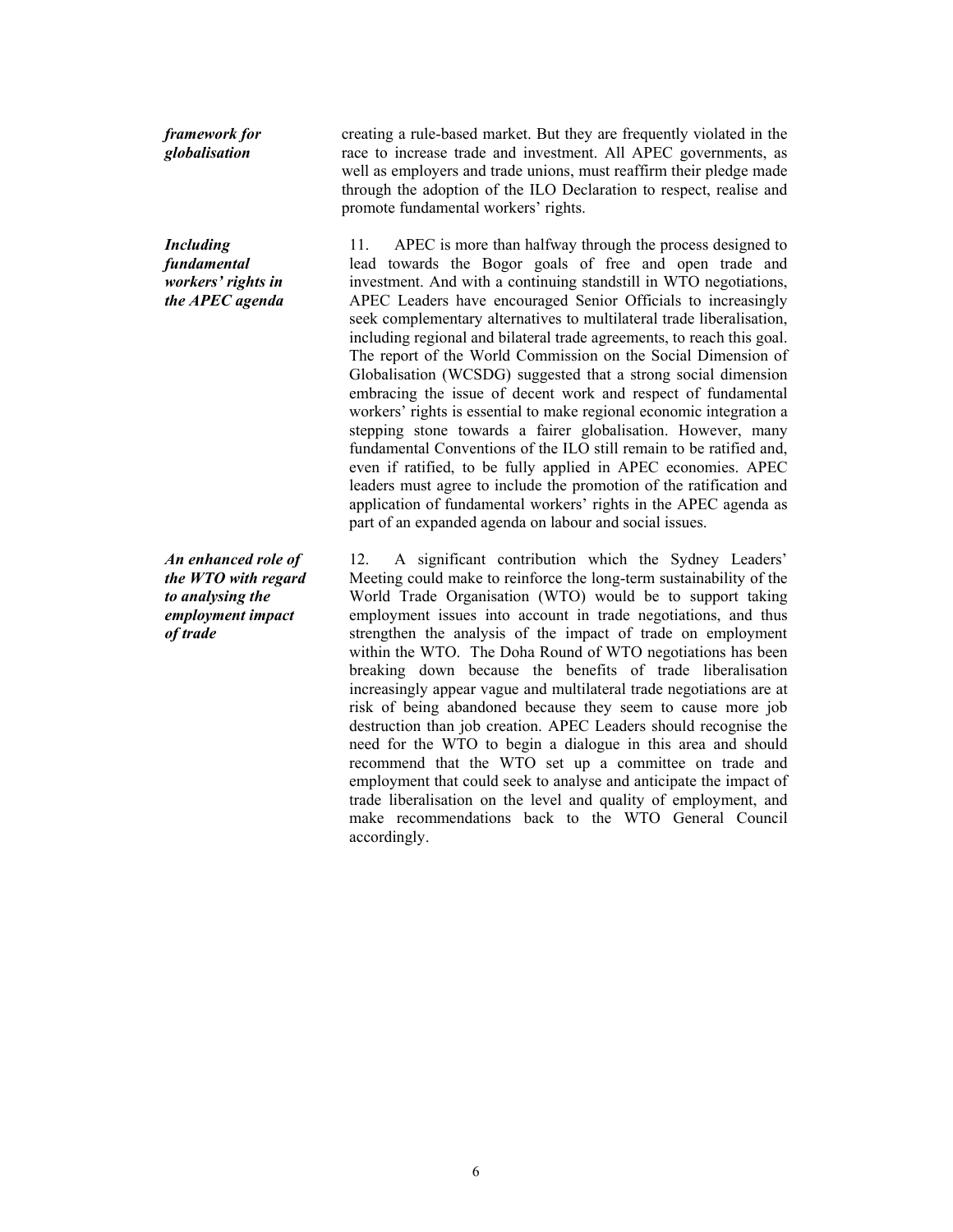*framework for globalisation* 

*Including fundamental workers' rights in the APEC agenda* 

*An enhanced role of the WTO with regard to analysing the employment impact of trade* 

creating a rule-based market. But they are frequently violated in the race to increase trade and investment. All APEC governments, as well as employers and trade unions, must reaffirm their pledge made through the adoption of the ILO Declaration to respect, realise and promote fundamental workers' rights.

11. APEC is more than halfway through the process designed to lead towards the Bogor goals of free and open trade and investment. And with a continuing standstill in WTO negotiations, APEC Leaders have encouraged Senior Officials to increasingly seek complementary alternatives to multilateral trade liberalisation, including regional and bilateral trade agreements, to reach this goal. The report of the World Commission on the Social Dimension of Globalisation (WCSDG) suggested that a strong social dimension embracing the issue of decent work and respect of fundamental workers' rights is essential to make regional economic integration a stepping stone towards a fairer globalisation. However, many fundamental Conventions of the ILO still remain to be ratified and, even if ratified, to be fully applied in APEC economies. APEC leaders must agree to include the promotion of the ratification and application of fundamental workers' rights in the APEC agenda as part of an expanded agenda on labour and social issues.

12. A significant contribution which the Sydney Leaders' Meeting could make to reinforce the long-term sustainability of the World Trade Organisation (WTO) would be to support taking employment issues into account in trade negotiations, and thus strengthen the analysis of the impact of trade on employment within the WTO. The Doha Round of WTO negotiations has been breaking down because the benefits of trade liberalisation increasingly appear vague and multilateral trade negotiations are at risk of being abandoned because they seem to cause more job destruction than job creation. APEC Leaders should recognise the need for the WTO to begin a dialogue in this area and should recommend that the WTO set up a committee on trade and employment that could seek to analyse and anticipate the impact of trade liberalisation on the level and quality of employment, and make recommendations back to the WTO General Council accordingly.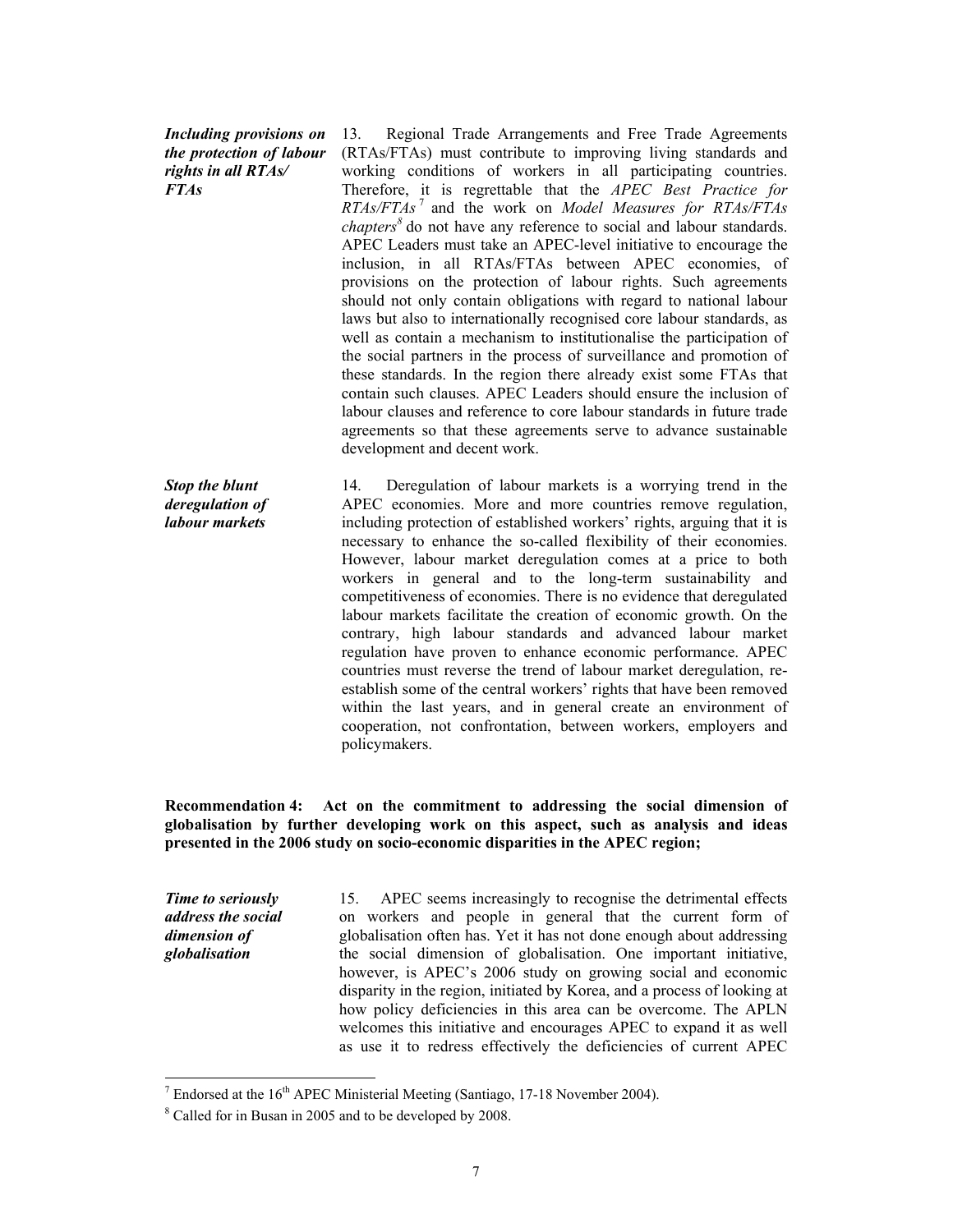*Including provisions on the protection of labour rights in all RTAs/ FTAs* 

13. Regional Trade Arrangements and Free Trade Agreements (RTAs/FTAs) must contribute to improving living standards and working conditions of workers in all participating countries. Therefore, it is regrettable that the *APEC Best Practice for RTAs/FTAs* <sup>7</sup> and the work on *Model Measures for RTAs/FTAs chapters<sup>8</sup>* do not have any reference to social and labour standards. APEC Leaders must take an APEC-level initiative to encourage the inclusion, in all RTAs/FTAs between APEC economies, of provisions on the protection of labour rights. Such agreements should not only contain obligations with regard to national labour laws but also to internationally recognised core labour standards, as well as contain a mechanism to institutionalise the participation of the social partners in the process of surveillance and promotion of these standards. In the region there already exist some FTAs that contain such clauses. APEC Leaders should ensure the inclusion of labour clauses and reference to core labour standards in future trade agreements so that these agreements serve to advance sustainable development and decent work.

*Stop the blunt deregulation of labour markets*  14. Deregulation of labour markets is a worrying trend in the APEC economies. More and more countries remove regulation, including protection of established workers' rights, arguing that it is necessary to enhance the so-called flexibility of their economies. However, labour market deregulation comes at a price to both workers in general and to the long-term sustainability and competitiveness of economies. There is no evidence that deregulated labour markets facilitate the creation of economic growth. On the contrary, high labour standards and advanced labour market regulation have proven to enhance economic performance. APEC countries must reverse the trend of labour market deregulation, reestablish some of the central workers' rights that have been removed within the last years, and in general create an environment of cooperation, not confrontation, between workers, employers and policymakers.

**Recommendation 4: Act on the commitment to addressing the social dimension of globalisation by further developing work on this aspect, such as analysis and ideas presented in the 2006 study on socio-economic disparities in the APEC region;** 

*Time to seriously address the social dimension of globalisation* 

l

15. APEC seems increasingly to recognise the detrimental effects on workers and people in general that the current form of globalisation often has. Yet it has not done enough about addressing the social dimension of globalisation. One important initiative, however, is APEC's 2006 study on growing social and economic disparity in the region, initiated by Korea, and a process of looking at how policy deficiencies in this area can be overcome. The APLN welcomes this initiative and encourages APEC to expand it as well as use it to redress effectively the deficiencies of current APEC

<sup>&</sup>lt;sup>7</sup> Endorsed at the 16<sup>th</sup> APEC Ministerial Meeting (Santiago, 17-18 November 2004).

Called for in Busan in 2005 and to be developed by 2008.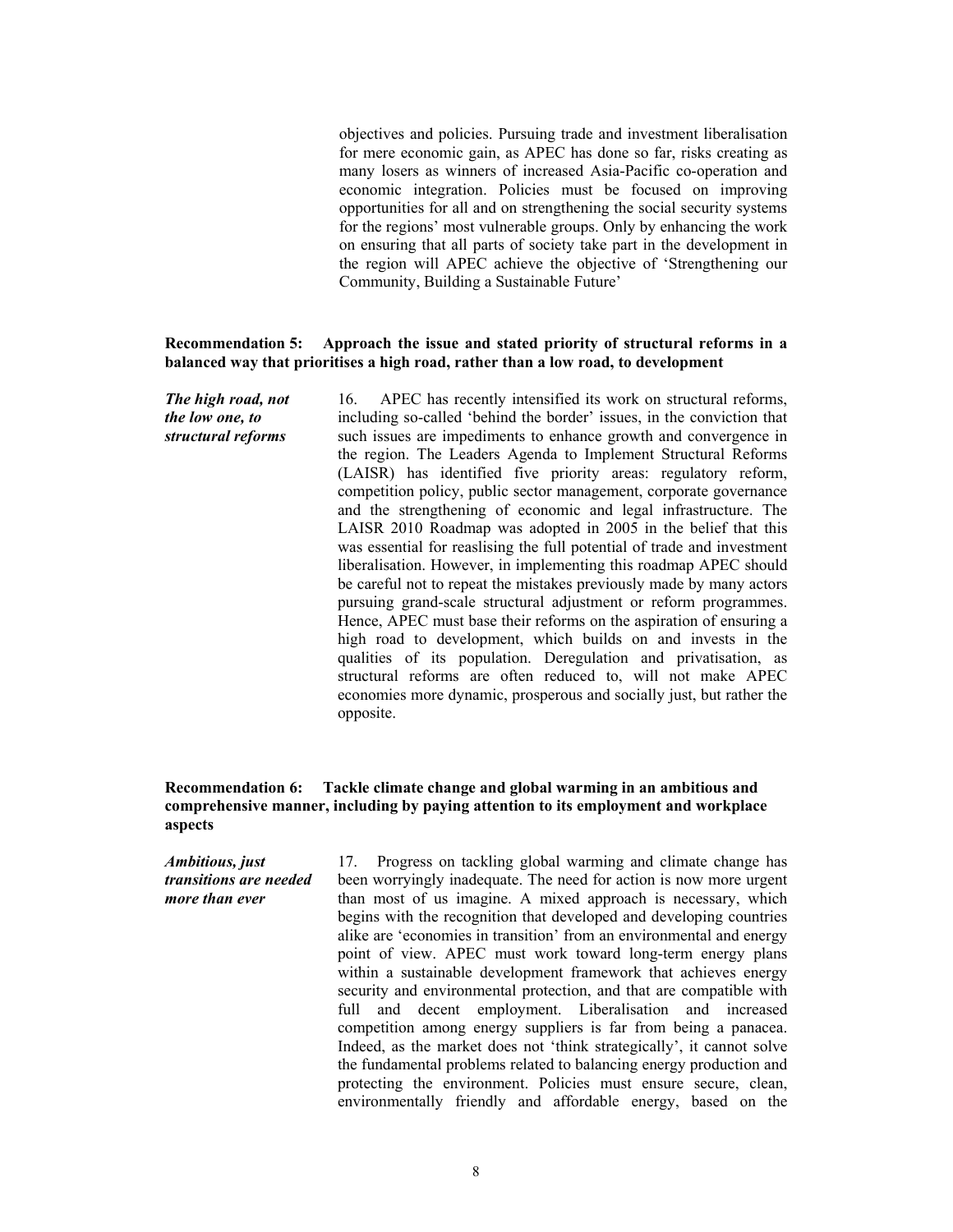objectives and policies. Pursuing trade and investment liberalisation for mere economic gain, as APEC has done so far, risks creating as many losers as winners of increased Asia-Pacific co-operation and economic integration. Policies must be focused on improving opportunities for all and on strengthening the social security systems for the regions' most vulnerable groups. Only by enhancing the work on ensuring that all parts of society take part in the development in the region will APEC achieve the objective of 'Strengthening our Community, Building a Sustainable Future'

### **Recommendation 5: Approach the issue and stated priority of structural reforms in a balanced way that prioritises a high road, rather than a low road, to development**

*The high road, not the low one, to structural reforms*  16. APEC has recently intensified its work on structural reforms, including so-called 'behind the border' issues, in the conviction that such issues are impediments to enhance growth and convergence in the region. The Leaders Agenda to Implement Structural Reforms (LAISR) has identified five priority areas: regulatory reform, competition policy, public sector management, corporate governance and the strengthening of economic and legal infrastructure. The LAISR 2010 Roadmap was adopted in 2005 in the belief that this was essential for reaslising the full potential of trade and investment liberalisation. However, in implementing this roadmap APEC should be careful not to repeat the mistakes previously made by many actors pursuing grand-scale structural adjustment or reform programmes. Hence, APEC must base their reforms on the aspiration of ensuring a high road to development, which builds on and invests in the qualities of its population. Deregulation and privatisation, as structural reforms are often reduced to, will not make APEC economies more dynamic, prosperous and socially just, but rather the opposite.

### **Recommendation 6: Tackle climate change and global warming in an ambitious and comprehensive manner, including by paying attention to its employment and workplace aspects**

*Ambitious, just transitions are needed more than ever* 17. Progress on tackling global warming and climate change has been worryingly inadequate. The need for action is now more urgent than most of us imagine. A mixed approach is necessary, which begins with the recognition that developed and developing countries alike are 'economies in transition' from an environmental and energy point of view. APEC must work toward long-term energy plans within a sustainable development framework that achieves energy security and environmental protection, and that are compatible with full and decent employment. Liberalisation and increased competition among energy suppliers is far from being a panacea. Indeed, as the market does not 'think strategically', it cannot solve the fundamental problems related to balancing energy production and protecting the environment. Policies must ensure secure, clean, environmentally friendly and affordable energy, based on the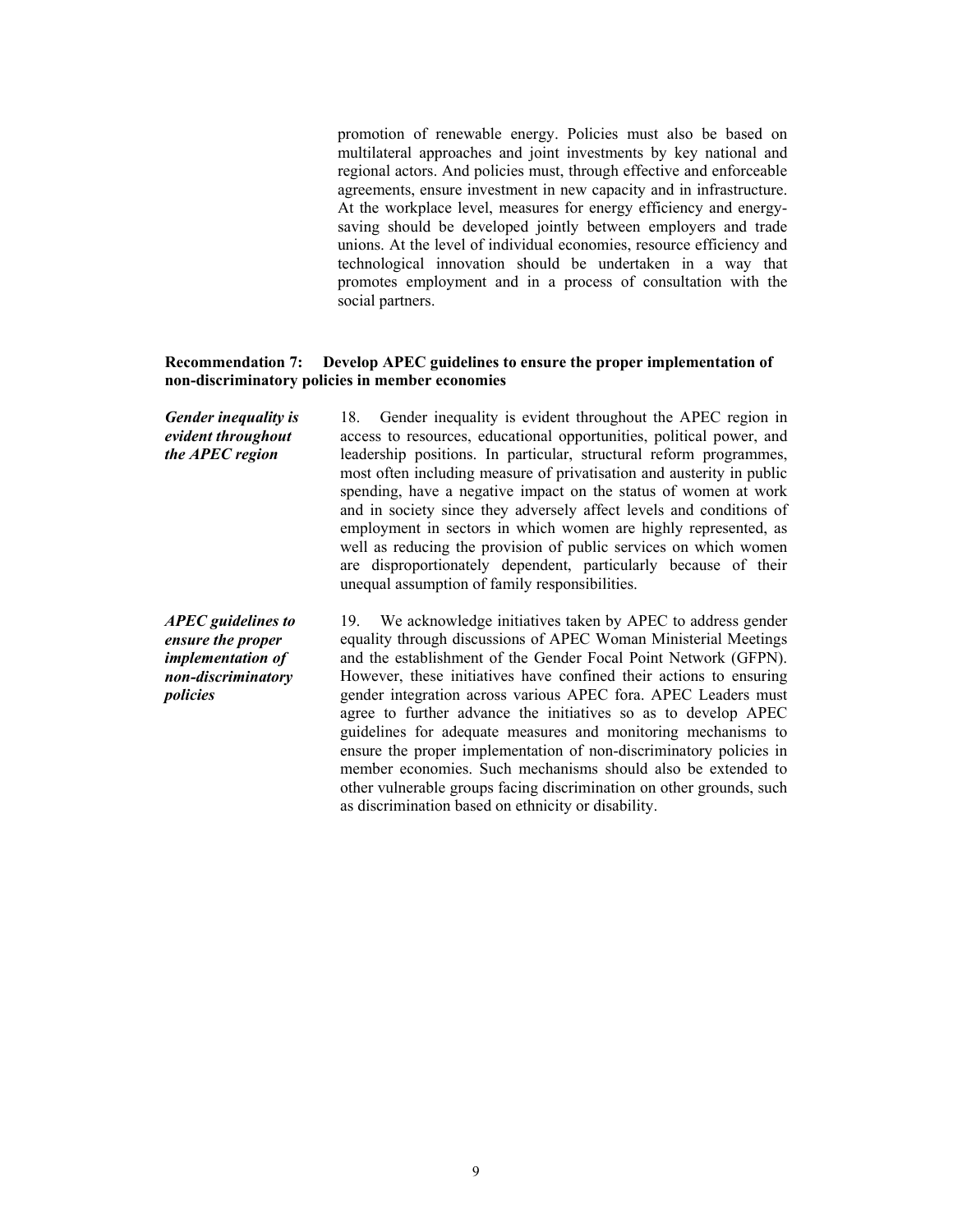promotion of renewable energy. Policies must also be based on multilateral approaches and joint investments by key national and regional actors. And policies must, through effective and enforceable agreements, ensure investment in new capacity and in infrastructure. At the workplace level, measures for energy efficiency and energysaving should be developed jointly between employers and trade unions. At the level of individual economies, resource efficiency and technological innovation should be undertaken in a way that promotes employment and in a process of consultation with the social partners.

### **Recommendation 7: Develop APEC guidelines to ensure the proper implementation of non-discriminatory policies in member economies**

*Gender inequality is evident throughout the APEC region*  18. Gender inequality is evident throughout the APEC region in access to resources, educational opportunities, political power, and leadership positions. In particular, structural reform programmes, most often including measure of privatisation and austerity in public spending, have a negative impact on the status of women at work and in society since they adversely affect levels and conditions of employment in sectors in which women are highly represented, as well as reducing the provision of public services on which women are disproportionately dependent, particularly because of their unequal assumption of family responsibilities.

*APEC guidelines to ensure the proper implementation of non-discriminatory policies*  19. We acknowledge initiatives taken by APEC to address gender equality through discussions of APEC Woman Ministerial Meetings and the establishment of the Gender Focal Point Network (GFPN). However, these initiatives have confined their actions to ensuring gender integration across various APEC fora. APEC Leaders must agree to further advance the initiatives so as to develop APEC guidelines for adequate measures and monitoring mechanisms to ensure the proper implementation of non-discriminatory policies in member economies. Such mechanisms should also be extended to other vulnerable groups facing discrimination on other grounds, such as discrimination based on ethnicity or disability.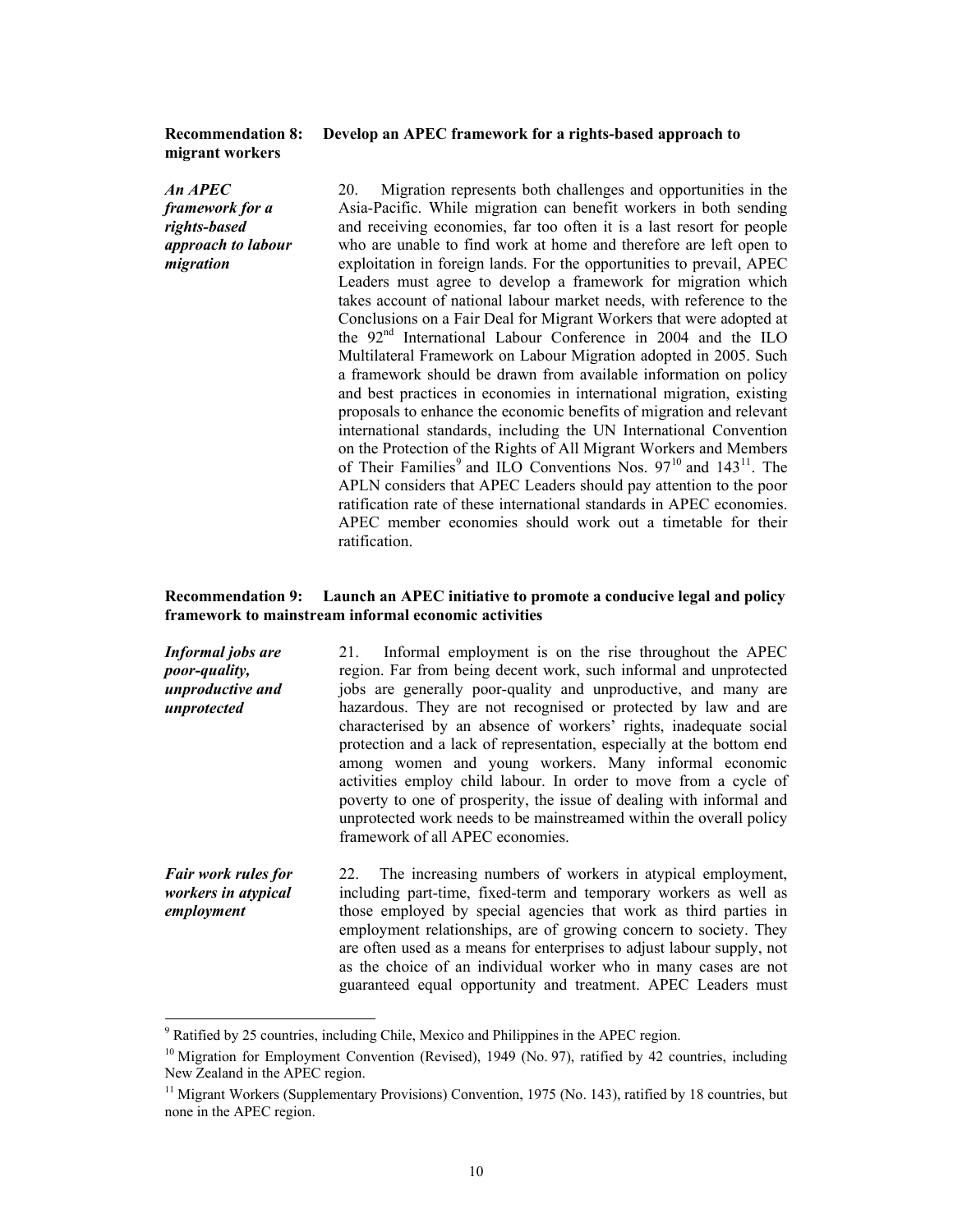# **migrant workers**

### **Recommendation 8: Develop an APEC framework for a rights-based approach to**

*An APEC framework for a rights-based approach to labour migration* 

20. Migration represents both challenges and opportunities in the Asia-Pacific. While migration can benefit workers in both sending and receiving economies, far too often it is a last resort for people who are unable to find work at home and therefore are left open to exploitation in foreign lands. For the opportunities to prevail, APEC Leaders must agree to develop a framework for migration which takes account of national labour market needs, with reference to the Conclusions on a Fair Deal for Migrant Workers that were adopted at the 92<sup>nd</sup> International Labour Conference in 2004 and the ILO Multilateral Framework on Labour Migration adopted in 2005. Such a framework should be drawn from available information on policy and best practices in economies in international migration, existing proposals to enhance the economic benefits of migration and relevant international standards, including the UN International Convention on the Protection of the Rights of All Migrant Workers and Members of Their Families<sup>9</sup> and ILO Conventions Nos.  $97^{10}$  and  $143^{11}$ . The APLN considers that APEC Leaders should pay attention to the poor ratification rate of these international standards in APEC economies. APEC member economies should work out a timetable for their ratification.

### **Recommendation 9: Launch an APEC initiative to promote a conducive legal and policy framework to mainstream informal economic activities**

| Informal jobs are<br>poor-quality,<br>unproductive and<br>unprotected | Informal employment is on the rise throughout the APEC<br>21.<br>region. Far from being decent work, such informal and unprotected<br>jobs are generally poor-quality and unproductive, and many are<br>hazardous. They are not recognised or protected by law and are<br>characterised by an absence of workers' rights, inadequate social<br>protection and a lack of representation, especially at the bottom end<br>among women and young workers. Many informal economic<br>activities employ child labour. In order to move from a cycle of<br>poverty to one of prosperity, the issue of dealing with informal and<br>unprotected work needs to be mainstreamed within the overall policy<br>framework of all APEC economies. |
|-----------------------------------------------------------------------|--------------------------------------------------------------------------------------------------------------------------------------------------------------------------------------------------------------------------------------------------------------------------------------------------------------------------------------------------------------------------------------------------------------------------------------------------------------------------------------------------------------------------------------------------------------------------------------------------------------------------------------------------------------------------------------------------------------------------------------|
| Fair work rules for<br>workers in atypical<br>employment              | 22. The increasing numbers of workers in atypical employment,<br>including part-time, fixed-term and temporary workers as well as<br>those employed by special agencies that work as third parties in<br>employment relationships, are of growing concern to society. They<br>are often used as a means for enterprises to adjust labour supply, not<br>as the choice of an individual worker who in many cases are not                                                                                                                                                                                                                                                                                                              |

guaranteed equal opportunity and treatment. APEC Leaders must

<sup>&</sup>lt;sup>9</sup> Ratified by 25 countries, including Chile, Mexico and Philippines in the APEC region.

 $10$  Migration for Employment Convention (Revised), 1949 (No. 97), ratified by 42 countries, including New Zealand in the APEC region.

 $11$  Migrant Workers (Supplementary Provisions) Convention, 1975 (No. 143), ratified by 18 countries, but none in the APEC region.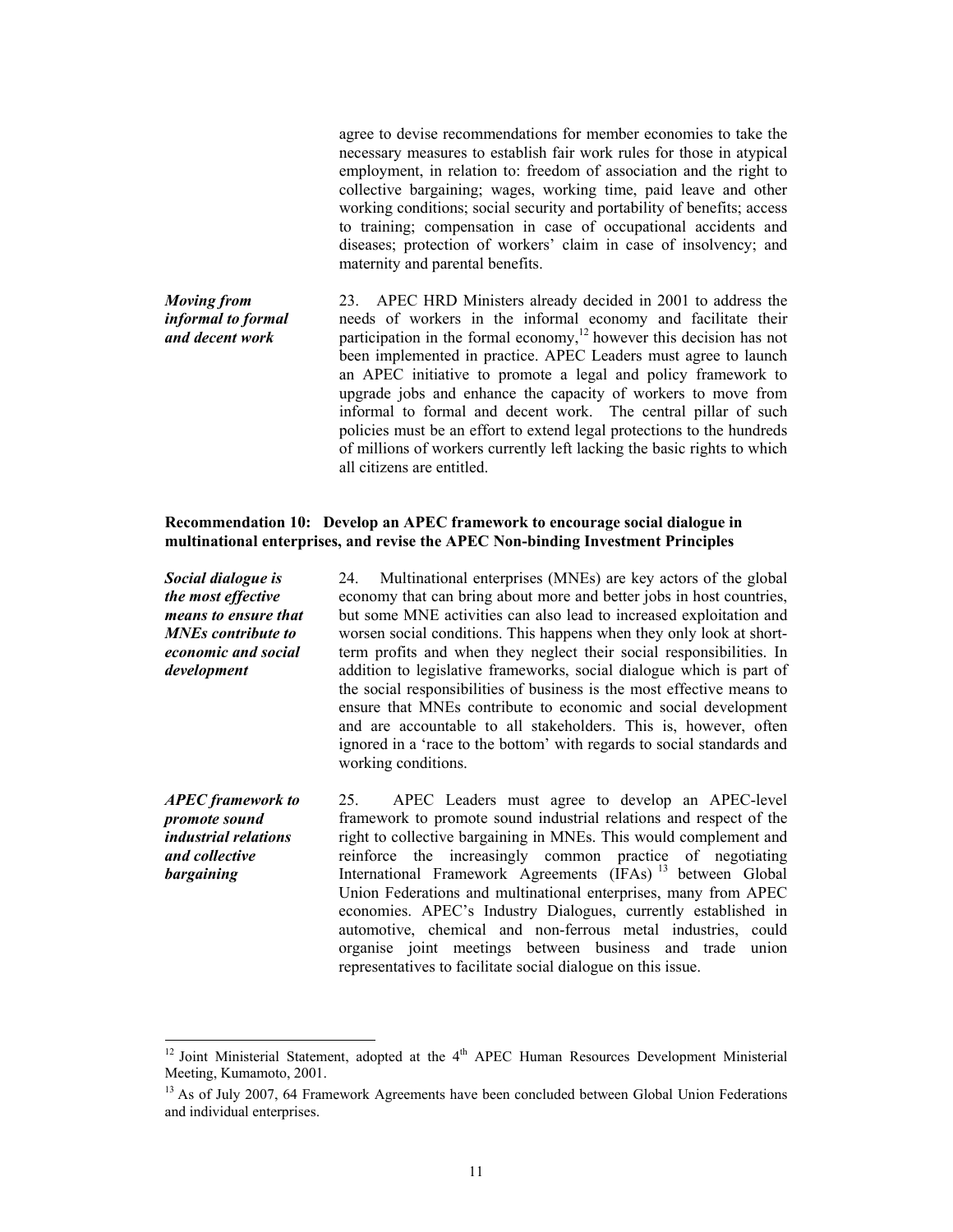agree to devise recommendations for member economies to take the necessary measures to establish fair work rules for those in atypical employment, in relation to: freedom of association and the right to collective bargaining; wages, working time, paid leave and other working conditions; social security and portability of benefits; access to training; compensation in case of occupational accidents and diseases; protection of workers' claim in case of insolvency; and maternity and parental benefits.

*Moving from informal to formal and decent work*  23. APEC HRD Ministers already decided in 2001 to address the needs of workers in the informal economy and facilitate their participation in the formal economy,<sup>12</sup> however this decision has not been implemented in practice. APEC Leaders must agree to launch an APEC initiative to promote a legal and policy framework to upgrade jobs and enhance the capacity of workers to move from informal to formal and decent work. The central pillar of such policies must be an effort to extend legal protections to the hundreds of millions of workers currently left lacking the basic rights to which all citizens are entitled.

### **Recommendation 10: Develop an APEC framework to encourage social dialogue in multinational enterprises, and revise the APEC Non-binding Investment Principles**

*Social dialogue is the most effective means to ensure that MNEs contribute to economic and social development*  24. Multinational enterprises (MNEs) are key actors of the global economy that can bring about more and better jobs in host countries, but some MNE activities can also lead to increased exploitation and worsen social conditions. This happens when they only look at shortterm profits and when they neglect their social responsibilities. In addition to legislative frameworks, social dialogue which is part of the social responsibilities of business is the most effective means to ensure that MNEs contribute to economic and social development and are accountable to all stakeholders. This is, however, often ignored in a 'race to the bottom' with regards to social standards and working conditions. *APEC framework to promote sound industrial relations and collective bargaining*  25. APEC Leaders must agree to develop an APEC-level framework to promote sound industrial relations and respect of the right to collective bargaining in MNEs. This would complement and reinforce the increasingly common practice of negotiating International Framework Agreements (IFAs)<sup>13</sup> between Global

Union Federations and multinational enterprises, many from APEC economies. APEC's Industry Dialogues, currently established in automotive, chemical and non-ferrous metal industries, could organise joint meetings between business and trade union representatives to facilitate social dialogue on this issue.

l

 $12$  Joint Ministerial Statement, adopted at the  $4<sup>th</sup>$  APEC Human Resources Development Ministerial Meeting, Kumamoto, 2001.

<sup>&</sup>lt;sup>13</sup> As of July 2007, 64 Framework Agreements have been concluded between Global Union Federations and individual enterprises.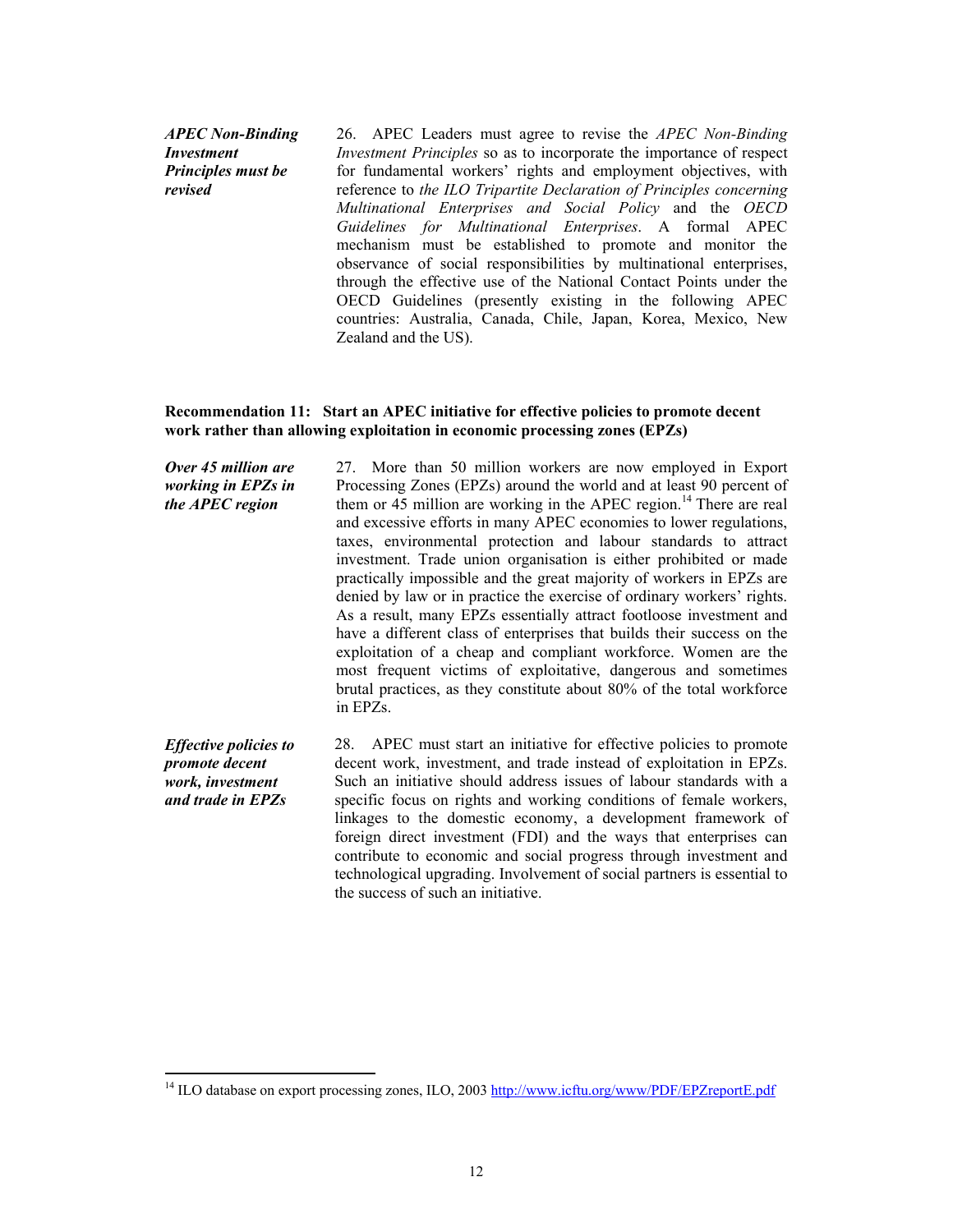*APEC Non-Binding Investment Principles must be revised* 

 $\overline{a}$ 

26. APEC Leaders must agree to revise the *APEC Non-Binding Investment Principles* so as to incorporate the importance of respect for fundamental workers' rights and employment objectives, with reference to *the ILO Tripartite Declaration of Principles concerning Multinational Enterprises and Social Policy* and the *OECD Guidelines for Multinational Enterprises*. A formal APEC mechanism must be established to promote and monitor the observance of social responsibilities by multinational enterprises, through the effective use of the National Contact Points under the OECD Guidelines (presently existing in the following APEC countries: Australia, Canada, Chile, Japan, Korea, Mexico, New Zealand and the US).

### **Recommendation 11: Start an APEC initiative for effective policies to promote decent work rather than allowing exploitation in economic processing zones (EPZs)**

| Over 45 million are<br>working in EPZs in<br>the APEC region                            | 27. More than 50 million workers are now employed in Export<br>Processing Zones (EPZs) around the world and at least 90 percent of<br>them or 45 million are working in the APEC region. <sup>14</sup> There are real<br>and excessive efforts in many APEC economies to lower regulations,<br>taxes, environmental protection and labour standards to attract<br>investment. Trade union organisation is either prohibited or made<br>practically impossible and the great majority of workers in EPZs are<br>denied by law or in practice the exercise of ordinary workers' rights.<br>As a result, many EPZs essentially attract footloose investment and<br>have a different class of enterprises that builds their success on the<br>exploitation of a cheap and compliant workforce. Women are the<br>most frequent victims of exploitative, dangerous and sometimes<br>brutal practices, as they constitute about 80% of the total workforce<br>in EPZs. |
|-----------------------------------------------------------------------------------------|-----------------------------------------------------------------------------------------------------------------------------------------------------------------------------------------------------------------------------------------------------------------------------------------------------------------------------------------------------------------------------------------------------------------------------------------------------------------------------------------------------------------------------------------------------------------------------------------------------------------------------------------------------------------------------------------------------------------------------------------------------------------------------------------------------------------------------------------------------------------------------------------------------------------------------------------------------------------|
| <b>Effective policies to</b><br>promote decent<br>work, investment<br>and trade in EPZs | APEC must start an initiative for effective policies to promote<br>28.<br>decent work, investment, and trade instead of exploitation in EPZs.<br>Such an initiative should address issues of labour standards with a<br>specific focus on rights and working conditions of female workers,<br>linkages to the domestic economy, a development framework of<br>foreign direct investment (FDI) and the ways that enterprises can                                                                                                                                                                                                                                                                                                                                                                                                                                                                                                                                 |

contribute to economic and social progress through investment and technological upgrading. Involvement of social partners is essential to

the success of such an initiative.

<sup>&</sup>lt;sup>14</sup> ILO database on export processing zones, ILO, 2003 http://www.icftu.org/www/PDF/EPZreportE.pdf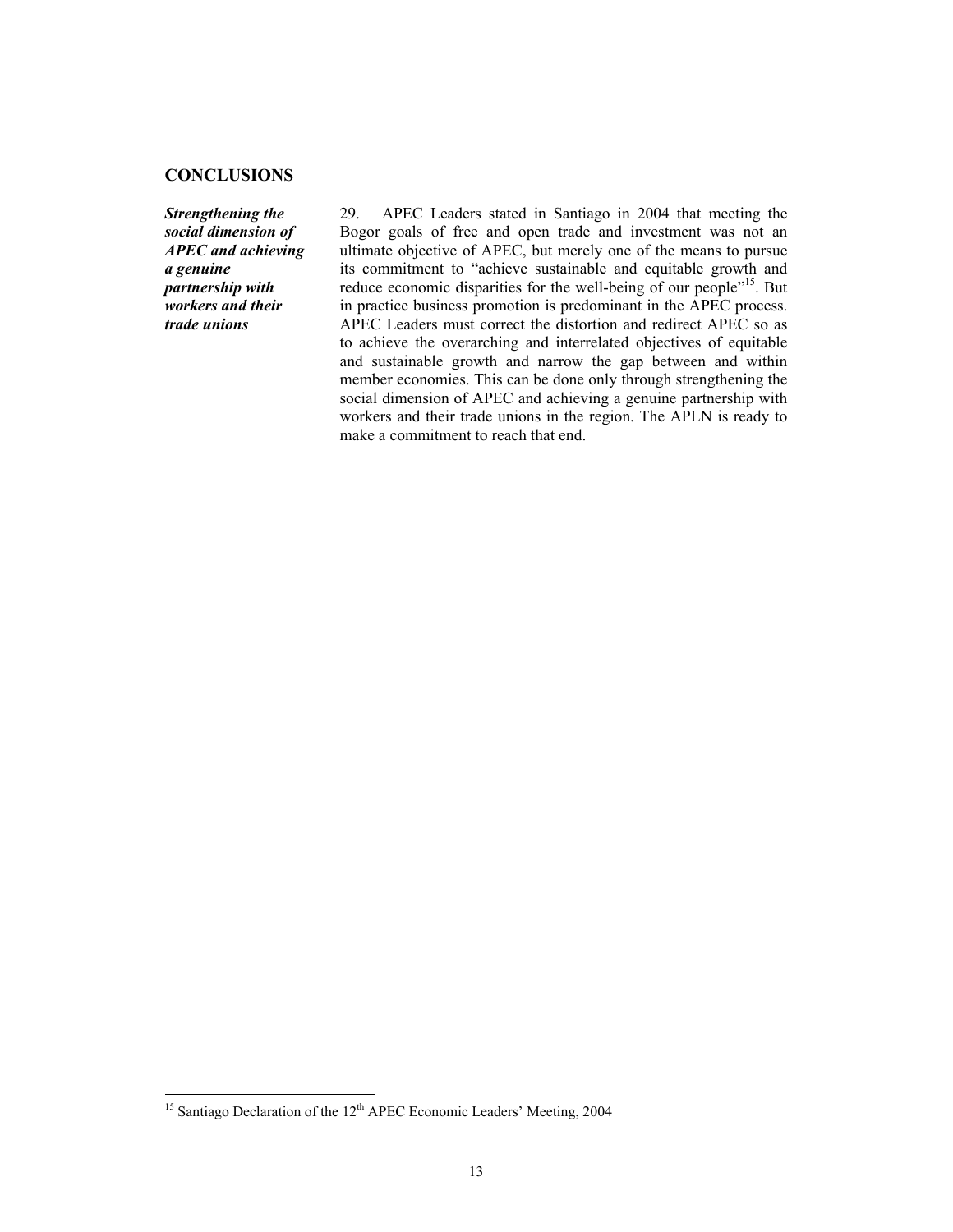### **CONCLUSIONS**

*Strengthening the social dimension of APEC and achieving a genuine partnership with workers and their trade unions* 

29. APEC Leaders stated in Santiago in 2004 that meeting the Bogor goals of free and open trade and investment was not an ultimate objective of APEC, but merely one of the means to pursue its commitment to "achieve sustainable and equitable growth and reduce economic disparities for the well-being of our people"<sup>15</sup>. But in practice business promotion is predominant in the APEC process. APEC Leaders must correct the distortion and redirect APEC so as to achieve the overarching and interrelated objectives of equitable and sustainable growth and narrow the gap between and within member economies. This can be done only through strengthening the social dimension of APEC and achieving a genuine partnership with workers and their trade unions in the region. The APLN is ready to make a commitment to reach that end.

l

<sup>&</sup>lt;sup>15</sup> Santiago Declaration of the  $12<sup>th</sup>$  APEC Economic Leaders' Meeting, 2004